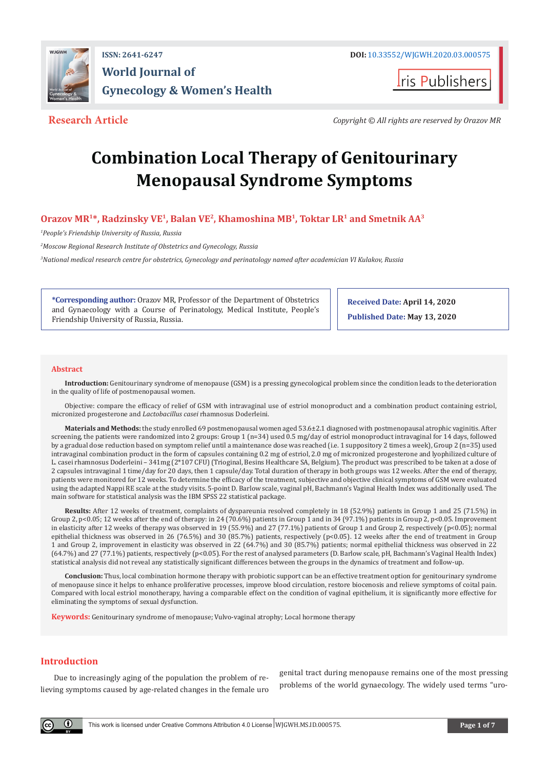

ris Publishers

**Research Article** *Copyright © All rights are reserved by Orazov MR* 

# **Combination Local Therapy of Genitourinary Menopausal Syndrome Symptoms**

# **Orazov МR<sup>1</sup>\*, Radzinsky VE<sup>1</sup>, Balan VE<sup>2</sup>, Khamoshina МВ<sup>1</sup>, Toktar LR<sup>1</sup> and Smetnik AA<sup>3</sup>**

*1 People's Friendship University of Russia, Russia* 

*2 Moscow Regional Research Institute of Obstetrics and Gynecology, Russia*

*3 National medical research centre for obstetrics, Gynecology and perinatology named after academician VI Kulakov, Russia*

**\*Corresponding author:** Orazov MR, Professor of the Department of Obstetrics and Gynaecology with a Course of Perinatology, Medical Institute, People's Friendship University of Russia, Russia.

**Received Date: April 14, 2020 Published Date: May 13, 2020**

#### **Abstract**

**Introduction:** Genitourinary syndrome of menopause (GSM) is a pressing gynecological problem since the condition leads to the deterioration in the quality of life of postmenopausal women.

Objective: compare the efficacy of relief of GSM with intravaginal use of estriol monoproduct and a combination product containing estriol, micronized progesterone and *Lactobacillus casei* rhamnosus Doderleini.

**Materials and Methods:** the study enrolled 69 postmenopausal women aged 53.6±2.1 diagnosed with postmenopausal atrophic vaginitis. After screening, the patients were randomized into 2 groups: Group 1 (n=34) used 0.5 mg/day of estriol monoproduct intravaginal for 14 days, followed by a gradual dose reduction based on symptom relief until a maintenance dose was reached (i.e. 1 suppository 2 times a week), Group 2 (n=35) used intravaginal combination product in the form of capsules containing 0.2 mg of estriol, 2.0 mg of micronized progesterone and lyophilized culture of L. casei rhamnosus Doderleini – 341mg (2\*107 CFU) (Trioginal, Besins Healthcare SA, Belgium). The product was prescribed to be taken at a dose of 2 capsules intravaginal 1 time/day for 20 days, then 1 capsule/day. Total duration of therapy in both groups was 12 weeks. After the end of therapy, patients were monitored for 12 weeks. To determine the efficacy of the treatment, subjective and objective clinical symptoms of GSM were evaluated using the adapted Nappi RE scale at the study visits. 5-point D. Barlow scale, vaginal pH, Bachmann's Vaginal Health Index was additionally used. The main software for statistical analysis was the IBM SPSS 22 statistical package.

**Results:** After 12 weeks of treatment, complaints of dyspareunia resolved completely in 18 (52.9%) patients in Group 1 and 25 (71.5%) in Group 2, p<0.05; 12 weeks after the end of therapy: in 24 (70.6%) patients in Group 1 and in 34 (97.1%) patients in Group 2, p<0.05. Improvement in elasticity after 12 weeks of therapy was observed in 19 (55.9%) and 27 (77.1%) patients of Group 1 and Group 2, respectively (p<0.05); normal epithelial thickness was observed in 26 (76.5%) and 30 (85.7%) patients, respectively (p<0.05). 12 weeks after the end of treatment in Group 1 and Group 2, improvement in elasticity was observed in 22 (64.7%) and 30 (85.7%) patients; normal epithelial thickness was observed in 22 (64.7%) and 27 (77.1%) patients, respectively (p<0.05). For the rest of analysed parameters (D. Barlow scale, pH, Bachmann's Vaginal Health Index) statistical analysis did not reveal any statistically significant differences between the groups in the dynamics of treatment and follow-up.

**Conclusion:** Thus, local combination hormone therapy with probiotic support can be an effective treatment option for genitourinary syndrome of menopause since it helps to enhance proliferative processes, improve blood circulation, restore biocenosis and relieve symptoms of coital pain. Compared with local estriol monotherapy, having a comparable effect on the condition of vaginal epithelium, it is significantly more effective for eliminating the symptoms of sexual dysfunction.

**Keywords:** Genitourinary syndrome of menopause; Vulvo-vaginal atrophy; Local hormone therapy

# **Introduction**

G)

Due to increasingly aging of the population the problem of relieving symptoms caused by age-related changes in the female uro

genital tract during menopause remains one of the most pressing problems of the world gynaecology. The widely used terms "uro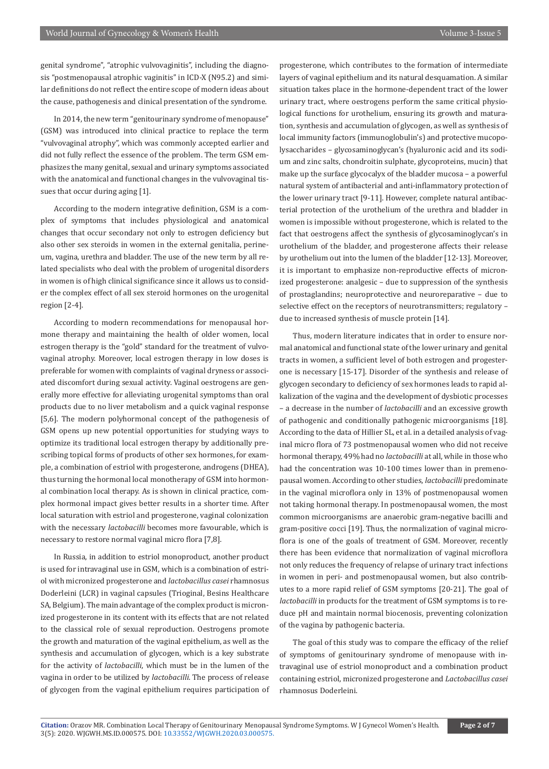genital syndrome", "atrophic vulvovaginitis", including the diagnosis "postmenopausal atrophic vaginitis" in ICD-X (N95.2) and similar definitions do not reflect the entire scope of modern ideas about the cause, pathogenesis and clinical presentation of the syndrome.

In 2014, the new term "genitourinary syndrome of menopause" (GSM) was introduced into clinical practice to replace the term "vulvovaginal atrophy", which was commonly accepted earlier and did not fully reflect the essence of the problem. The term GSM emphasizes the many genital, sexual and urinary symptoms associated with the anatomical and functional changes in the vulvovaginal tissues that occur during aging [1].

According to the modern integrative definition, GSM is a complex of symptoms that includes physiological and anatomical changes that occur secondary not only to estrogen deficiency but also other sex steroids in women in the external genitalia, perineum, vagina, urethra and bladder. The use of the new term by all related specialists who deal with the problem of urogenital disorders in women is of high clinical significance since it allows us to consider the complex effect of all sex steroid hormones on the urogenital region [2-4].

According to modern recommendations for menopausal hormone therapy and maintaining the health of older women, local estrogen therapy is the "gold" standard for the treatment of vulvovaginal atrophy. Moreover, local estrogen therapy in low doses is preferable for women with complaints of vaginal dryness or associated discomfort during sexual activity. Vaginal oestrogens are generally more effective for alleviating urogenital symptoms than oral products due to no liver metabolism and a quick vaginal response [5,6]. The modern polyhormonal concept of the pathogenesis of GSM opens up new potential opportunities for studying ways to optimize its traditional local estrogen therapy by additionally prescribing topical forms of products of other sex hormones, for example, a combination of estriol with progesterone, androgens (DHEA), thus turning the hormonal local monotherapy of GSM into hormonal combination local therapy. As is shown in clinical practice, complex hormonal impact gives better results in a shorter time. After local saturation with estriol and progesterone, vaginal colonization with the necessary *lactobacilli* becomes more favourable, which is necessary to restore normal vaginal micro flora [7,8].

In Russia, in addition to estriol monoproduct, another product is used for intravaginal use in GSM, which is a combination of estriol with micronized progesterone and *lactobacillus casei* rhamnosus Doderleini (LCR) in vaginal capsules (Trioginal, Besins Healthcare SA, Belgium). The main advantage of the complex product is micronized progesterone in its content with its effects that are not related to the classical role of sexual reproduction. Oestrogens promote the growth and maturation of the vaginal epithelium, as well as the synthesis and accumulation of glycogen, which is a key substrate for the activity of *lactobacilli*, which must be in the lumen of the vagina in order to be utilized by *lactobacilli*. The process of release of glycogen from the vaginal epithelium requires participation of

progesterone, which contributes to the formation of intermediate layers of vaginal epithelium and its natural desquamation. A similar situation takes place in the hormone-dependent tract of the lower urinary tract, where oestrogens perform the same critical physiological functions for urothelium, ensuring its growth and maturation, synthesis and accumulation of glycogen, as well as synthesis of local immunity factors (immunoglobulin's) and protective mucopolysaccharides – glycosaminoglycan's (hyaluronic acid and its sodium and zinc salts, chondroitin sulphate, glycoproteins, mucin) that make up the surface glycocalyx of the bladder mucosa – a powerful natural system of antibacterial and anti-inflammatory protection of the lower urinary tract [9-11]. However, complete natural antibacterial protection of the urothelium of the urethra and bladder in women is impossible without progesterone, which is related to the fact that oestrogens affect the synthesis of glycosaminoglycan's in urothelium of the bladder, and progesterone affects their release by urothelium out into the lumen of the bladder [12-13]. Moreover, it is important to emphasize non-reproductive effects of micronized progesterone: analgesic – due to suppression of the synthesis of prostaglandins; neuroprotective and neuroreparative – due to selective effect on the receptors of neurotransmitters; regulatory – due to increased synthesis of muscle protein [14].

Thus, modern literature indicates that in order to ensure normal anatomical and functional state of the lower urinary and genital tracts in women, a sufficient level of both estrogen and progesterone is necessary [15-17]. Disorder of the synthesis and release of glycogen secondary to deficiency of sex hormones leads to rapid alkalization of the vagina and the development of dysbiotic processes – a decrease in the number of *lactobacilli* and an excessive growth of pathogenic and conditionally pathogenic microorganisms [18]. According to the data of Hillier SL, et al. in a detailed analysis of vaginal micro flora of 73 postmenopausal women who did not receive hormonal therapy, 49% had no *lactobacilli* at all, while in those who had the concentration was 10-100 times lower than in premenopausal women. According to other studies, *lactobacilli* predominate in the vaginal microflora only in 13% of postmenopausal women not taking hormonal therapy. In postmenopausal women, the most common microorganisms are anaerobic gram-negative bacilli and gram-positive cocci [19]. Thus, the normalization of vaginal microflora is one of the goals of treatment of GSM. Moreover, recently there has been evidence that normalization of vaginal microflora not only reduces the frequency of relapse of urinary tract infections in women in peri- and postmenopausal women, but also contributes to a more rapid relief of GSM symptoms [20-21]. The goal of *lactobacilli* in products for the treatment of GSM symptoms is to reduce pH and maintain normal biocenosis, preventing colonization of the vagina by pathogenic bacteria.

The goal of this study was to compare the efficacy of the relief of symptoms of genitourinary syndrome of menopause with intravaginal use of estriol monoproduct and a combination product containing estriol, micronized progesterone and *Lactobacillus casei*  rhamnosus Doderleini.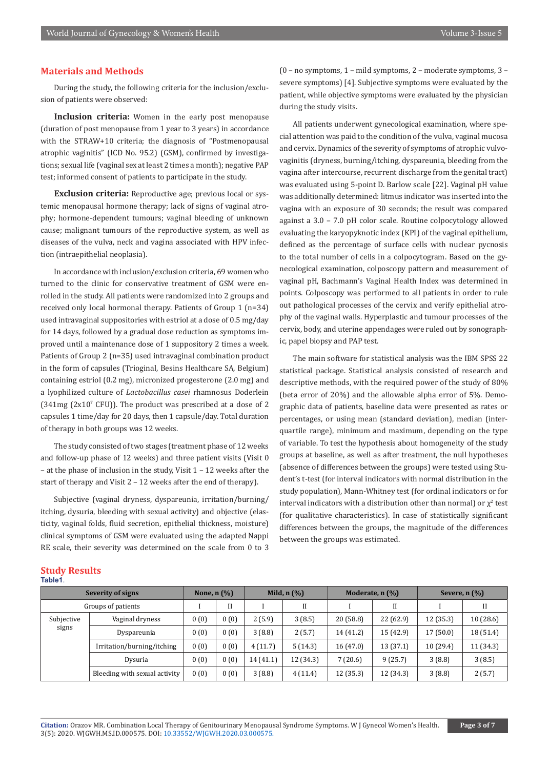# **Materials and Methods**

During the study, the following criteria for the inclusion/exclusion of patients were observed:

**Inclusion criteria:** Women in the early post menopause (duration of post menopause from 1 year to 3 years) in accordance with the STRAW+10 criteria; the diagnosis of "Postmenopausal atrophic vaginitis" (ICD No. 95.2) (GSM), confirmed by investigations; sexual life (vaginal sex at least 2 times a month); negative PAP test; informed consent of patients to participate in the study.

**Exclusion criteria:** Reproductive age; previous local or systemic menopausal hormone therapy; lack of signs of vaginal atrophy; hormone-dependent tumours; vaginal bleeding of unknown cause; malignant tumours of the reproductive system, as well as diseases of the vulva, neck and vagina associated with HPV infection (intraepithelial neoplasia).

In accordance with inclusion/exclusion criteria, 69 women who turned to the clinic for conservative treatment of GSM were enrolled in the study. All patients were randomized into 2 groups and received only local hormonal therapy. Patients of Group 1 (n=34) used intravaginal suppositories with estriol at a dose of 0.5 mg/day for 14 days, followed by a gradual dose reduction as symptoms improved until a maintenance dose of 1 suppository 2 times a week. Patients of Group 2 (n=35) used intravaginal combination product in the form of capsules (Trioginal, Besins Healthcare SA, Belgium) containing estriol (0.2 mg), micronized progesterone (2.0 mg) and a lyophilized culture of *Lactobacillus casei* rhamnosus Doderlein  $(341mg (2x10<sup>7</sup> CFU))$ . The product was prescribed at a dose of 2 capsules 1 time/day for 20 days, then 1 capsule/day. Total duration of therapy in both groups was 12 weeks.

The study consisted of two stages (treatment phase of 12 weeks and follow-up phase of 12 weeks) and three patient visits (Visit 0 – at the phase of inclusion in the study, Visit 1 – 12 weeks after the start of therapy and Visit 2 – 12 weeks after the end of therapy).

Subjective (vaginal dryness, dyspareunia, irritation/burning/ itching, dysuria, bleeding with sexual activity) and objective (elasticity, vaginal folds, fluid secretion, epithelial thickness, moisture) clinical symptoms of GSM were evaluated using the adapted Nappi RE scale, their severity was determined on the scale from 0 to 3 (0 – no symptoms, 1 – mild symptoms, 2 – moderate symptoms, 3 – severe symptoms) [4]. Subjective symptoms were evaluated by the patient, while objective symptoms were evaluated by the physician during the study visits.

All patients underwent gynecological examination, where special attention was paid to the condition of the vulva, vaginal mucosa and cervix. Dynamics of the severity of symptoms of atrophic vulvovaginitis (dryness, burning/itching, dyspareunia, bleeding from the vagina after intercourse, recurrent discharge from the genital tract) was evaluated using 5-point D. Barlow scale [22]. Vaginal pH value was additionally determined: litmus indicator was inserted into the vagina with an exposure of 30 seconds; the result was compared against a 3.0 – 7.0 pH color scale. Routine colpocytology allowed evaluating the karyopyknotic index (KPI) of the vaginal epithelium, defined as the percentage of surface cells with nuclear pycnosis to the total number of cells in a colpocytogram. Based on the gynecological examination, colposcopy pattern and measurement of vaginal pH, Bachmann's Vaginal Health Index was determined in points. Colposcopy was performed to all patients in order to rule out pathological processes of the cervix and verify epithelial atrophy of the vaginal walls. Hyperplastic and tumour processes of the cervix, body, and uterine appendages were ruled out by sonographic, papel biopsy and PAP test.

The main software for statistical analysis was the IBM SPSS 22 statistical package. Statistical analysis consisted of research and descriptive methods, with the required power of the study of 80% (beta error of 20%) and the allowable alpha error of 5%. Demographic data of patients, baseline data were presented as rates or percentages, or using mean (standard deviation), median (interquartile range), minimum and maximum, depending on the type of variable. To test the hypothesis about homogeneity of the study groups at baseline, as well as after treatment, the null hypotheses (absence of differences between the groups) were tested using Student's t-test (for interval indicators with normal distribution in the study population), Mann-Whitney test (for ordinal indicators or for interval indicators with a distribution other than normal) or  $\chi^2$  test (for qualitative characteristics). In case of statistically significant differences between the groups, the magnitude of the differences between the groups was estimated.

#### **Study Results Table1**.

| Severity of signs   |                               | None, $n$ $(\%)$ |      | Mild, $n$ $(\%)$ |           | Moderate, $n$ $\left(\frac{0}{0}\right)$ |           | Severe, $n(\%)$ |           |
|---------------------|-------------------------------|------------------|------|------------------|-----------|------------------------------------------|-----------|-----------------|-----------|
| Groups of patients  |                               |                  | II   |                  | Н         |                                          |           |                 | II        |
| Subjective<br>signs | Vaginal dryness               | 0(0)             | 0(0) | 2(5.9)           | 3(8.5)    | 20 (58.8)                                | 22(62.9)  | 12(35.3)        | 10(28.6)  |
|                     | Dyspareunia                   | 0(0)             | 0(0) | 3(8.8)           | 2(5.7)    | 14 (41.2)                                | 15 (42.9) | 17(50.0)        | 18 (51.4) |
|                     | Irritation/burning/itching    | 0(0)             | 0(0) | 4(11.7)          | 5(14.3)   | 16(47.0)                                 | 13 (37.1) | 10(29.4)        | 11 (34.3) |
|                     | Dysuria                       | 0(0)             | 0(0) | 14(41.1)         | 12 (34.3) | 7(20.6)                                  | 9(25.7)   | 3(8.8)          | 3(8.5)    |
|                     | Bleeding with sexual activity | 0(0)             | 0(0) | 3(8.8)           | 4(11.4)   | 12 (35.3)                                | 12 (34.3) | 3(8.8)          | 2(5.7)    |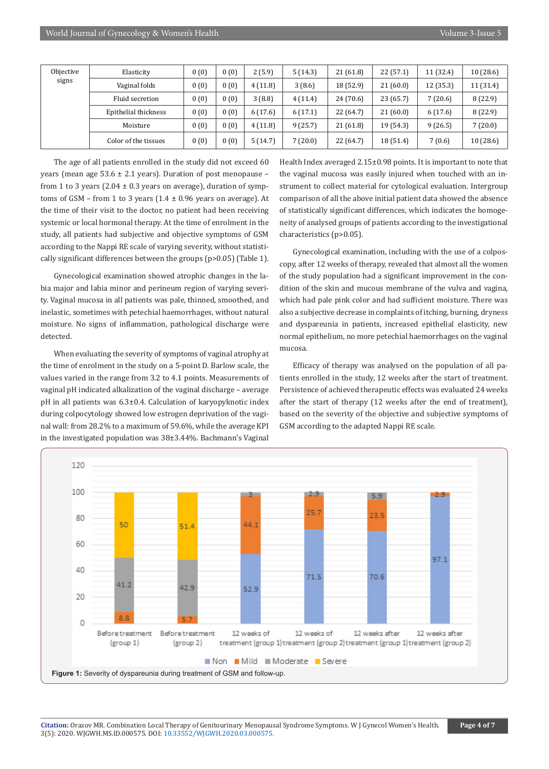| Objective<br>signs | Elasticity           | 0(0) | 0(0) | 2(5.9)  | 5(14.3) | 21(61.8)  | 22(57.1)  | 11 (32.4) | 10(28.6)  |
|--------------------|----------------------|------|------|---------|---------|-----------|-----------|-----------|-----------|
|                    | Vaginal folds        | 0(0) | 0(0) | 4(11.8) | 3(8.6)  | 18 (52.9) | 21(60.0)  | 12 (35.3) | 11 (31.4) |
|                    | Fluid secretion      | 0(0) | 0(0) | 3(8.8)  | 4(11.4) | 24(70.6)  | 23(65.7)  | 7(20.6)   | 8(22.9)   |
|                    | Epithelial thickness | 0(0) | 0(0) | 6(17.6) | 6(17.1) | 22 (64.7) | 21(60.0)  | 6(17.6)   | 8(22.9)   |
|                    | Moisture             | 0(0) | 0(0) | 4(11.8) | 9(25.7) | 21(61.8)  | 19 (54.3) | 9(26.5)   | 7(20.0)   |
|                    | Color of the tissues | 0(0) | 0(0) | 5(14.7) | (20.0)  | 22 (64.7) | 18 (51.4) | 7(0.6)    | 10(28.6)  |

The age of all patients enrolled in the study did not exceed 60 years (mean age  $53.6 \pm 2.1$  years). Duration of post menopause from 1 to 3 years (2.04  $\pm$  0.3 years on average), duration of symptoms of GSM – from 1 to 3 years  $(1.4 \pm 0.96$  years on average). At the time of their visit to the doctor, no patient had been receiving systemic or local hormonal therapy. At the time of enrolment in the study, all patients had subjective and objective symptoms of GSM according to the Nappi RE scale of varying severity, without statistically significant differences between the groups (p>0.05) (Table 1).

Gynecological examination showed atrophic changes in the labia major and labia minor and perineum region of varying severity. Vaginal mucosa in all patients was pale, thinned, smoothed, and inelastic, sometimes with petechial haemorrhages, without natural moisture. No signs of inflammation, pathological discharge were detected.

When evaluating the severity of symptoms of vaginal atrophy at the time of enrolment in the study on a 5-point D. Barlow scale, the values varied in the range from 3.2 to 4.1 points. Measurements of vaginal pH indicated alkalization of the vaginal discharge – average pH in all patients was 6.3±0.4. Calculation of karyopyknotic index during colpocytology showed low estrogen deprivation of the vaginal wall: from 28.2% to a maximum of 59.6%, while the average KPI in the investigated population was 38±3.44%. Bachmann's Vaginal

Health Index averaged 2.15±0.98 points. It is important to note that the vaginal mucosa was easily injured when touched with an instrument to collect material for cytological evaluation. Intergroup comparison of all the above initial patient data showed the absence of statistically significant differences, which indicates the homogeneity of analysed groups of patients according to the investigational characteristics (p>0.05).

Gynecological examination, including with the use of a colposcopy, after 12 weeks of therapy, revealed that almost all the women of the study population had a significant improvement in the condition of the skin and mucous membrane of the vulva and vagina, which had pale pink color and had sufficient moisture. There was also a subjective decrease in complaints of itching, burning, dryness and dyspareunia in patients, increased epithelial elasticity, new normal epithelium, no more petechial haemorrhages on the vaginal mucosa.

Efficacy of therapy was analysed on the population of all patients enrolled in the study, 12 weeks after the start of treatment. Persistence of achieved therapeutic effects was evaluated 24 weeks after the start of therapy (12 weeks after the end of treatment), based on the severity of the objective and subjective symptoms of GSM according to the adapted Nappi RE scale.

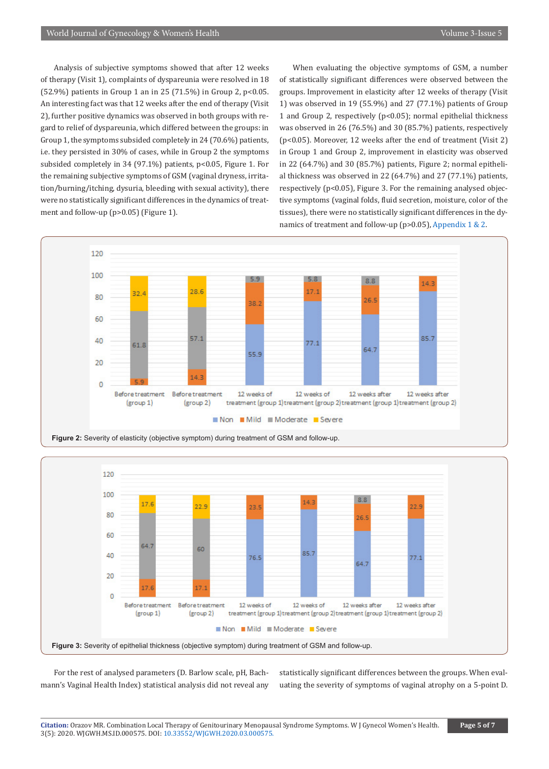Analysis of subjective symptoms showed that after 12 weeks of therapy (Visit 1), complaints of dyspareunia were resolved in 18 (52.9%) patients in Group 1 an in 25 (71.5%) in Group 2, p<0.05. An interesting fact was that 12 weeks after the end of therapy (Visit 2), further positive dynamics was observed in both groups with regard to relief of dyspareunia, which differed between the groups: in Group 1, the symptoms subsided completely in 24 (70.6%) patients, i.e. they persisted in 30% of cases, while in Group 2 the symptoms subsided completely in 34 (97.1%) patients, p<0.05, Figure 1. For the remaining subjective symptoms of GSM (vaginal dryness, irritation/burning/itching, dysuria, bleeding with sexual activity), there were no statistically significant differences in the dynamics of treatment and follow-up (p>0.05) (Figure 1).

When evaluating the objective symptoms of GSM, a number of statistically significant differences were observed between the groups. Improvement in elasticity after 12 weeks of therapy (Visit 1) was observed in 19 (55.9%) and 27 (77.1%) patients of Group 1 and Group 2, respectively (p<0.05); normal epithelial thickness was observed in 26 (76.5%) and 30 (85.7%) patients, respectively (p<0.05). Moreover, 12 weeks after the end of treatment (Visit 2) in Group 1 and Group 2, improvement in elasticity was observed in 22 (64.7%) and 30 (85.7%) patients, Figure 2; normal epithelial thickness was observed in 22 (64.7%) and 27 (77.1%) patients, respectively (p<0.05), Figure 3. For the remaining analysed objective symptoms (vaginal folds, fluid secretion, moisture, color of the tissues), there were no statistically significant differences in the dy-namics of treatment and follow-up (p>0.05), [Appendix 1 & 2.](https://irispublishers.com/wjgwh/pdf/WJGWH.MS.ID.000575-appendix.pdf)







For the rest of analysed parameters (D. Barlow scale, pH, Bachmann's Vaginal Health Index) statistical analysis did not reveal any

statistically significant differences between the groups. When evaluating the severity of symptoms of vaginal atrophy on a 5-point D.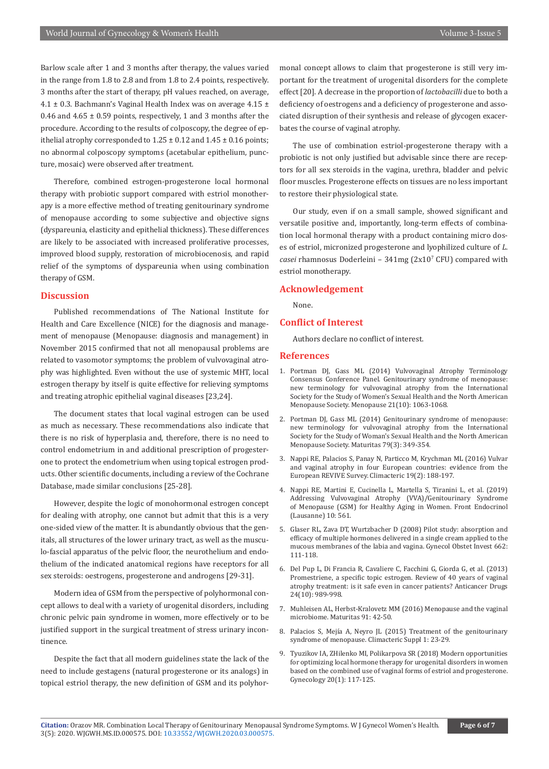Barlow scale after 1 and 3 months after therapy, the values varied in the range from 1.8 to 2.8 and from 1.8 to 2.4 points, respectively. 3 months after the start of therapy, pH values reached, on average, 4.1  $\pm$  0.3. Bachmann's Vaginal Health Index was on average 4.15  $\pm$ 0.46 and  $4.65 \pm 0.59$  points, respectively, 1 and 3 months after the procedure. According to the results of colposcopy, the degree of epithelial atrophy corresponded to  $1.25 \pm 0.12$  and  $1.45 \pm 0.16$  points; no abnormal colposcopy symptoms (acetabular epithelium, puncture, mosaic) were observed after treatment.

Therefore, combined estrogen-progesterone local hormonal therapy with probiotic support compared with estriol monotherapy is a more effective method of treating genitourinary syndrome of menopause according to some subjective and objective signs (dyspareunia, elasticity and epithelial thickness). These differences are likely to be associated with increased proliferative processes, improved blood supply, restoration of microbiocenosis, and rapid relief of the symptoms of dyspareunia when using combination therapy of GSM.

## **Discussion**

Published recommendations of The National Institute for Health and Care Excellence (NICE) for the diagnosis and management of menopause (Menopause: diagnosis and management) in November 2015 confirmed that not all menopausal problems are related to vasomotor symptoms; the problem of vulvovaginal atrophy was highlighted. Even without the use of systemic MHT, local estrogen therapy by itself is quite effective for relieving symptoms and treating atrophic epithelial vaginal diseases [23,24].

The document states that local vaginal estrogen can be used as much as necessary. These recommendations also indicate that there is no risk of hyperplasia and, therefore, there is no need to control endometrium in and additional prescription of progesterone to protect the endometrium when using topical estrogen products. Other scientific documents, including a review of the Cochrane Database, made similar conclusions [25-28].

However, despite the logic of monohormonal estrogen concept for dealing with atrophy, one cannot but admit that this is a very one-sided view of the matter. It is abundantly obvious that the genitals, all structures of the lower urinary tract, as well as the musculo-fascial apparatus of the pelvic floor, the neurothelium and endothelium of the indicated anatomical regions have receptors for all sex steroids: oestrogens, progesterone and androgens [29-31].

Modern idea of GSM from the perspective of polyhormonal concept allows to deal with a variety of urogenital disorders, including chronic pelvic pain syndrome in women, more effectively or to be justified support in the surgical treatment of stress urinary incontinence.

Despite the fact that all modern guidelines state the lack of the need to include gestagens (natural progesterone or its analogs) in topical estriol therapy, the new definition of GSM and its polyhormonal concept allows to claim that progesterone is still very important for the treatment of urogenital disorders for the complete effect [20]. A decrease in the proportion of *lactobacilli* due to both a deficiency of oestrogens and a deficiency of progesterone and associated disruption of their synthesis and release of glycogen exacerbates the course of vaginal atrophy.

The use of combination estriol-progesterone therapy with a probiotic is not only justified but advisable since there are receptors for all sex steroids in the vagina, urethra, bladder and pelvic floor muscles. Progesterone effects on tissues are no less important to restore their physiological state.

Our study, even if on a small sample, showed significant and versatile positive and, importantly, long-term effects of combination local hormonal therapy with a product containing micro doses of estriol, micronized progesterone and lyophilized culture of *L. casei* rhamnosus Doderleini – 341mg (2x107 CFU) compared with estriol monotherapy.

#### **Acknowledgement**

None.

# **Conflict of Interest**

Authors declare no conflict of interest.

### **References**

- 1. [Portman DJ, Gass ML \(2014\) Vulvovaginal Atrophy Terminology](https://pubmed.ncbi.nlm.nih.gov/25160739/)  [Consensus Conference Panel. Genitourinary syndrome of menopause:](https://pubmed.ncbi.nlm.nih.gov/25160739/)  [new terminology for vulvovaginal atrophy from the International](https://pubmed.ncbi.nlm.nih.gov/25160739/)  [Society for the Study of Women's Sexual Health and the North American](https://pubmed.ncbi.nlm.nih.gov/25160739/)  [Menopause Society. Menopause 21\(10\): 1063-1068.](https://pubmed.ncbi.nlm.nih.gov/25160739/)
- 2. [Portman DJ, Gass ML \(2014\) Genitourinary syndrome of menopause:](https://www.sciencedirect.com/science/article/abs/pii/S0378512214002424)  [new terminology for vulvovaginal atrophy from the International](https://www.sciencedirect.com/science/article/abs/pii/S0378512214002424)  [Society for the Study of Woman's Sexual Health and the North American](https://www.sciencedirect.com/science/article/abs/pii/S0378512214002424)  [Menopause Society. Maturitas 79\(3\): 349-354.](https://www.sciencedirect.com/science/article/abs/pii/S0378512214002424)
- 3. [Nappi RE, Palacios S, Panay N, Particco M, Krychman ML \(2016\) Vulvar](https://pubmed.ncbi.nlm.nih.gov/26581580/)  [and vaginal atrophy in four European countries: evidence from the](https://pubmed.ncbi.nlm.nih.gov/26581580/)  [European REVIVE Survey. Climacteric 19\(2\): 188-197.](https://pubmed.ncbi.nlm.nih.gov/26581580/)
- 4. [Nappi RE, Martini E, Cucinella L, Martella S, Tiranini L, et al. \(2019\)](https://pubmed.ncbi.nlm.nih.gov/31496993/)  [Addressing Vulvovaginal Atrophy \(VVA\)/Genitourinary Syndrome](https://pubmed.ncbi.nlm.nih.gov/31496993/)  [of Menopause \(GSM\) for Healthy Aging in Women. Front Endocrinol](https://pubmed.ncbi.nlm.nih.gov/31496993/)  [\(Lausanne\) 10: 561.](https://pubmed.ncbi.nlm.nih.gov/31496993/)
- 5. Glaser RL, Zava DT, Wurtzbacher D (2008) Pilot study: absorption and efficacy of multiple hormones delivered in a single cream applied to the mucous membranes of the labia and vagina. Gynecol Obstet Invest 662: 111-118.
- 6. Del Pup L, Di Francia R, Cavaliere C, Facchini G, Giorda G, et al. (2013) Promestriene, a specific topic estrogen. Review of 40 years of vaginal atrophy treatment: is it safe even in cancer patients? Anticancer Drugs 24(10): 989-998.
- 7. [Muhleisen AL, Herbst-Kralovetz MM \(2016\) Menopause and the vaginal](https://pubmed.ncbi.nlm.nih.gov/27451320/)  [microbiome. Maturitas 91: 42-50.](https://pubmed.ncbi.nlm.nih.gov/27451320/)
- 8. [Palacios S, Mejía A, Neyro JL \(2015\) Treatment of the genitourinary](https://pubmed.ncbi.nlm.nih.gov/26366797/)  [syndrome of menopause. Climacteric Suppl 1: 23-29.](https://pubmed.ncbi.nlm.nih.gov/26366797/)
- 9. Tyuzikov IA, ZHilenko MI, Polikarpova SR (2018) Modern opportunities for optimizing local hormone therapy for urogenital disorders in women based on the combined use of vaginal forms of estriol and progesterone. Gynecology 20(1): 117-125.